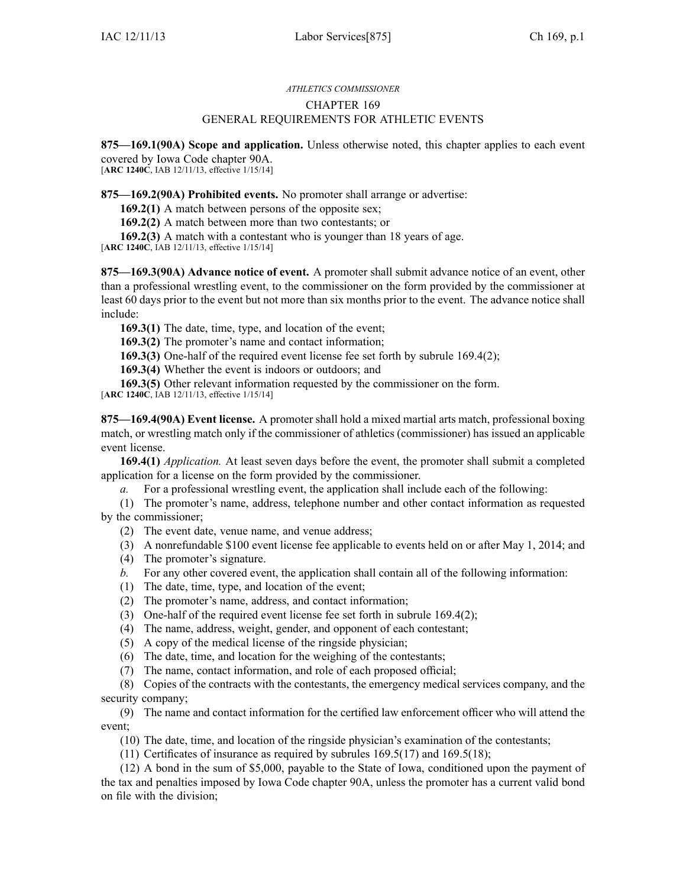## *ATHLETICS COMMISSIONER* CHAPTER 169 GENERAL REQUIREMENTS FOR ATHLETIC EVENTS

**875—169.1(90A) Scope and application.** Unless otherwise noted, this chapter applies to each event covered by Iowa Code chapter 90A.

[**ARC 1240C**, IAB 12/11/13, effective 1/15/14]

**875—169.2(90A) Prohibited events.** No promoter shall arrange or advertise:

**169.2(1)** A match between persons of the opposite sex;

**169.2(2)** A match between more than two contestants; or

**169.2(3)** A match with <sup>a</sup> contestant who is younger than 18 years of age.

[**ARC 1240C**, IAB 12/11/13, effective 1/15/14]

**875—169.3(90A) Advance notice of event.** A promoter shall submit advance notice of an event, other than <sup>a</sup> professional wrestling event, to the commissioner on the form provided by the commissioner at least 60 days prior to the event but not more than six months prior to the event. The advance notice shall include:

**169.3(1)** The date, time, type, and location of the event;

**169.3(2)** The promoter's name and contact information;

**169.3(3)** One-half of the required event license fee set forth by subrule 169.4(2);

**169.3(4)** Whether the event is indoors or outdoors; and

**169.3(5)** Other relevant information requested by the commissioner on the form.

[**ARC 1240C**, IAB 12/11/13, effective 1/15/14]

**875—169.4(90A) Event license.** A promoter shall hold <sup>a</sup> mixed martial arts match, professional boxing match, or wrestling match only if the commissioner of athletics (commissioner) has issued an applicable event license.

**169.4(1)** *Application.* At least seven days before the event, the promoter shall submit <sup>a</sup> completed application for <sup>a</sup> license on the form provided by the commissioner.

*a.* For <sup>a</sup> professional wrestling event, the application shall include each of the following:

(1) The promoter's name, address, telephone number and other contact information as requested by the commissioner;

(2) The event date, venue name, and venue address;

(3) A nonrefundable \$100 event license fee applicable to events held on or after May 1, 2014; and

- (4) The promoter's signature.
- *b.* For any other covered event, the application shall contain all of the following information:
- (1) The date, time, type, and location of the event;
- (2) The promoter's name, address, and contact information;
- (3) One-half of the required event license fee set forth in subrule 169.4(2);
- (4) The name, address, weight, gender, and opponen<sup>t</sup> of each contestant;
- (5) A copy of the medical license of the ringside physician;
- (6) The date, time, and location for the weighing of the contestants;
- (7) The name, contact information, and role of each proposed official;

(8) Copies of the contracts with the contestants, the emergency medical services company, and the security company;

(9) The name and contact information for the certified law enforcement officer who will attend the event;

(10) The date, time, and location of the ringside physician's examination of the contestants;

(11) Certificates of insurance as required by subrules 169.5(17) and 169.5(18);

(12) A bond in the sum of \$5,000, payable to the State of Iowa, conditioned upon the paymen<sup>t</sup> of the tax and penalties imposed by Iowa Code chapter 90A, unless the promoter has <sup>a</sup> current valid bond on file with the division;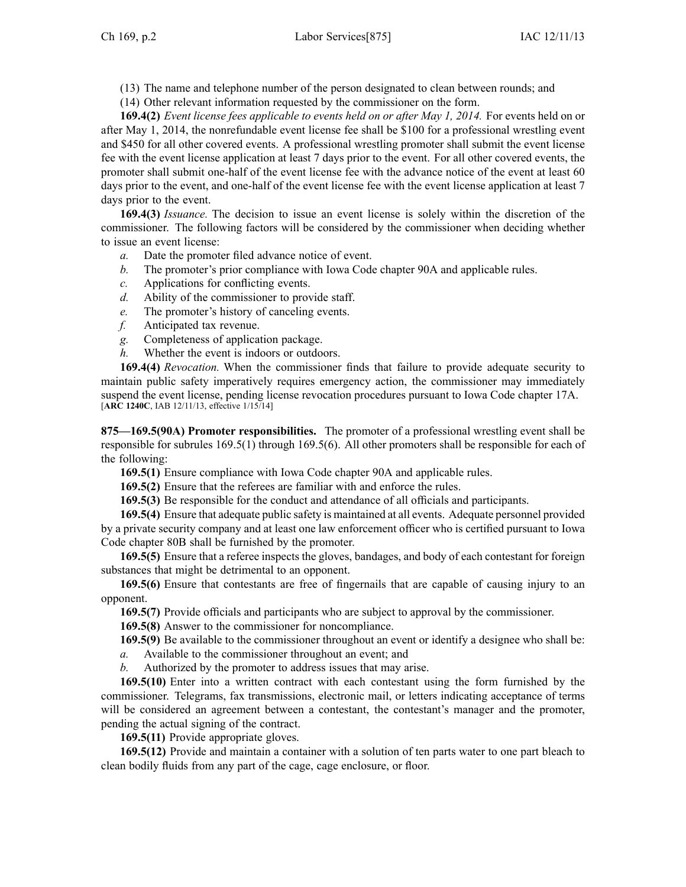- (13) The name and telephone number of the person designated to clean between rounds; and
- (14) Other relevant information requested by the commissioner on the form.

**169.4(2)** *Event license fees applicable to events held on or after May 1, 2014.* For events held on or after May 1, 2014, the nonrefundable event license fee shall be \$100 for <sup>a</sup> professional wrestling event and \$450 for all other covered events. A professional wrestling promoter shall submit the event license fee with the event license application at least 7 days prior to the event. For all other covered events, the promoter shall submit one-half of the event license fee with the advance notice of the event at least 60 days prior to the event, and one-half of the event license fee with the event license application at least 7 days prior to the event.

**169.4(3)** *Issuance.* The decision to issue an event license is solely within the discretion of the commissioner. The following factors will be considered by the commissioner when deciding whether to issue an event license:

- *a.* Date the promoter filed advance notice of event.
- *b.* The promoter's prior compliance with Iowa Code chapter 90A and applicable rules.
- *c.* Applications for conflicting events.
- *d.* Ability of the commissioner to provide staff.
- *e.* The promoter's history of canceling events.
- *f.* Anticipated tax revenue.
- *g.* Completeness of application package.
- *h.* Whether the event is indoors or outdoors.

**169.4(4)** *Revocation.* When the commissioner finds that failure to provide adequate security to maintain public safety imperatively requires emergency action, the commissioner may immediately suspend the event license, pending license revocation procedures pursuan<sup>t</sup> to Iowa Code chapter 17A. [**ARC 1240C**, IAB 12/11/13, effective 1/15/14]

**875—169.5(90A) Promoter responsibilities.** The promoter of <sup>a</sup> professional wrestling event shall be responsible for subrules 169.5(1) through 169.5(6). All other promoters shall be responsible for each of the following:

**169.5(1)** Ensure compliance with Iowa Code chapter 90A and applicable rules.

**169.5(2)** Ensure that the referees are familiar with and enforce the rules.

**169.5(3)** Be responsible for the conduct and attendance of all officials and participants.

**169.5(4)** Ensure that adequate public safety is maintained at all events. Adequate personnel provided by <sup>a</sup> private security company and at least one law enforcement officer who is certified pursuan<sup>t</sup> to Iowa Code chapter 80B shall be furnished by the promoter.

**169.5(5)** Ensure that <sup>a</sup> referee inspects the gloves, bandages, and body of each contestant for foreign substances that might be detrimental to an opponent.

**169.5(6)** Ensure that contestants are free of fingernails that are capable of causing injury to an opponent.

**169.5(7)** Provide officials and participants who are subject to approval by the commissioner.

**169.5(8)** Answer to the commissioner for noncompliance.

**169.5(9)** Be available to the commissioner throughout an event or identify <sup>a</sup> designee who shall be:

*a.* Available to the commissioner throughout an event; and

*b.* Authorized by the promoter to address issues that may arise.

**169.5(10)** Enter into <sup>a</sup> written contract with each contestant using the form furnished by the commissioner. Telegrams, fax transmissions, electronic mail, or letters indicating acceptance of terms will be considered an agreement between a contestant, the contestant's manager and the promoter, pending the actual signing of the contract.

**169.5(11)** Provide appropriate gloves.

**169.5(12)** Provide and maintain <sup>a</sup> container with <sup>a</sup> solution of ten parts water to one par<sup>t</sup> bleach to clean bodily fluids from any par<sup>t</sup> of the cage, cage enclosure, or floor.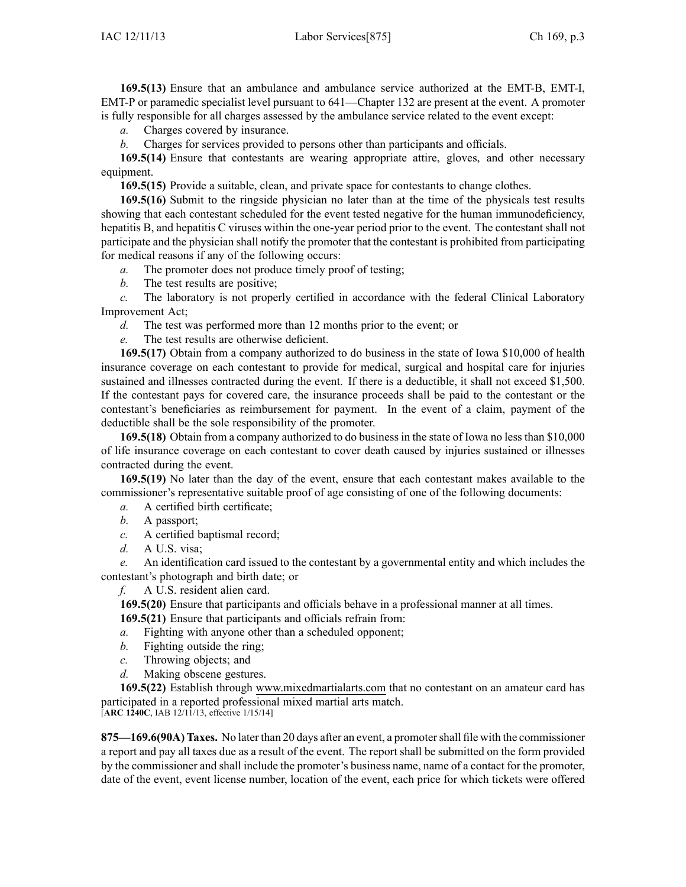**169.5(13)** Ensure that an ambulance and ambulance service authorized at the EMT-B, EMT-I, EMT-P or paramedic specialist level pursuan<sup>t</sup> to 641—Chapter 132 are presen<sup>t</sup> at the event. A promoter is fully responsible for all charges assessed by the ambulance service related to the event except:

*a.* Charges covered by insurance.

*b.* Charges for services provided to persons other than participants and officials.

**169.5(14)** Ensure that contestants are wearing appropriate attire, gloves, and other necessary equipment.

**169.5(15)** Provide <sup>a</sup> suitable, clean, and private space for contestants to change clothes.

**169.5(16)** Submit to the ringside physician no later than at the time of the physicals test results showing that each contestant scheduled for the event tested negative for the human immunodeficiency, hepatitis B, and hepatitis C viruses within the one-year period prior to the event. The contestant shall not participate and the physician shall notify the promoter that the contestant is prohibited from participating for medical reasons if any of the following occurs:

*a.* The promoter does not produce timely proof of testing;

*b.* The test results are positive;

*c.* The laboratory is not properly certified in accordance with the federal Clinical Laboratory Improvement Act;

*d.* The test was performed more than 12 months prior to the event; or

*e.* The test results are otherwise deficient.

**169.5(17)** Obtain from <sup>a</sup> company authorized to do business in the state of Iowa \$10,000 of health insurance coverage on each contestant to provide for medical, surgical and hospital care for injuries sustained and illnesses contracted during the event. If there is <sup>a</sup> deductible, it shall not exceed \$1,500. If the contestant pays for covered care, the insurance proceeds shall be paid to the contestant or the contestant's beneficiaries as reimbursement for payment. In the event of <sup>a</sup> claim, paymen<sup>t</sup> of the deductible shall be the sole responsibility of the promoter.

**169.5(18)** Obtain from <sup>a</sup> company authorized to do business in the state of Iowa no less than \$10,000 of life insurance coverage on each contestant to cover death caused by injuries sustained or illnesses contracted during the event.

**169.5(19)** No later than the day of the event, ensure that each contestant makes available to the commissioner's representative suitable proof of age consisting of one of the following documents:

*a.* A certified birth certificate;

*b.* A passport;

*c.* A certified baptismal record;

*d.* A U.S. visa;

*e.* An identification card issued to the contestant by <sup>a</sup> governmental entity and which includes the contestant's photograph and birth date; or

*f.* A U.S. resident alien card.

**169.5(20)** Ensure that participants and officials behave in <sup>a</sup> professional manner at all times.

**169.5(21)** Ensure that participants and officials refrain from:

*a.* Fighting with anyone other than <sup>a</sup> scheduled opponent;

- *b.* Fighting outside the ring;
- *c.* Throwing objects; and
- *d.* Making obscene gestures.

**169.5(22)** Establish through www.mixedmartialarts.com that no contestant on an amateur card has participated in <sup>a</sup> reported professional mixed martial arts match.

[**ARC 1240C**, IAB 12/11/13, effective 1/15/14]

**875—169.6(90A) Taxes.** No later than 20 days after an event, <sup>a</sup> promotershall file with the commissioner <sup>a</sup> repor<sup>t</sup> and pay all taxes due as <sup>a</sup> result of the event. The repor<sup>t</sup> shall be submitted on the form provided by the commissioner and shall include the promoter's business name, name of <sup>a</sup> contact for the promoter, date of the event, event license number, location of the event, each price for which tickets were offered